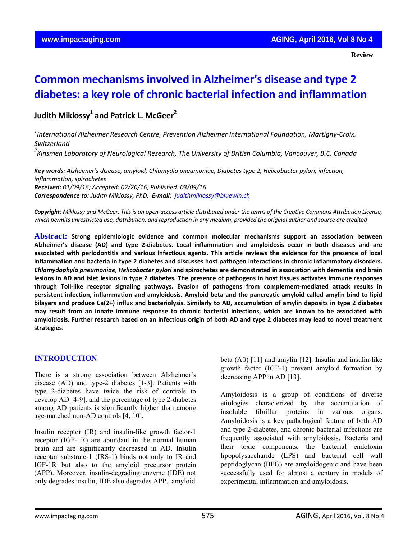**Review**

# **Common mechanisms involved in Alzheimer's disease and type 2 diabetes: a key role of chronic bacterial infection and inflammation**

# **Judith Miklossy1 and Patrick L. McGeer2**

*1 International Alzheimer Research Centre, Prevention Alzheimer International Foundation, Martigny‐Croix, Switzerland 2 Kinsmen Laboratory of Neurological Research, The University of British Columbia, Vancouver, B.C, Canada*

*Key words: Alzheimer's disease, amyloid, Chlamydia pneumoniae, Diabetes type 2, Helicobacter pylori, infection, inflammation, spirochetes Received: 01/09/16; Accepted: 02/20/16; Published: 03/09/16 Correspondence to: Judith Miklossy, PhD; E‐mail: judithmiklossy@bluewin.ch*

Copyright: Miklossy and McGeer. This is an open-access article distributed under the terms of the Creative Commons Attribution License, which permits unrestricted use, distribution, and reproduction in any medium, provided the original author and source are credited

**Abstract: Strong epidemiologic evidence and common molecular mechanisms support an association between** Alzheimer's disease (AD) and type 2-diabetes. Local inflammation and amyloidosis occur in both diseases and are associated with periodontitis and various infectious agents. This article reviews the evidence for the presence of local inflammation and bacteria in type 2 diabetes and discusses host pathogen interactions in chronic inflammatory disorders. *Chlamydophyla pneumoniae***,** *Helicobacter pylori* **and spirochetes are demonstrated in association with dementia and brain** lesions in AD and islet lesions in type 2 diabetes. The presence of pathogens in host tissues activates immune responses through Toll-like receptor signaling pathways. Evasion of pathogens from complement-mediated attack results in persistent infection, inflammation and amyloidosis. Amyloid beta and the pancreatic amyloid called amylin bind to lipid bilayers and produce Ca(2+) influx and bacteriolysis. Similarly to AD, accumulation of amylin deposits in type 2 diabetes may result from an innate immune response to chronic bacterial infections, which are known to be associated with amyloidosis. Further research based on an infectious origin of both AD and type 2 diabetes may lead to novel treatment **strategies.**

# **INTRODUCTION**

There is a strong association between Alzheimer's disease (AD) and type-2 diabetes [1-3]. Patients with type 2-diabetes have twice the risk of controls to develop AD [4-9], and the percentage of type 2-diabetes among AD patients is significantly higher than among age-matched non-AD controls [4, 10].

Insulin receptor (IR) and insulin-like growth factor-1 receptor (IGF-1R) are abundant in the normal human brain and are significantly decreased in AD. Insulin receptor substrate-1 (IRS-1) binds not only to IR and IGF-1R but also to the amyloid precursor protein (APP). Moreover, insulin-degrading enzyme (IDE) not only degrades insulin, IDE also degrades APP, amyloid

beta (Aβ) [11] and amylin [12]. Insulin and insulin-like growth factor (IGF-1) prevent amyloid formation by decreasing APP in AD [13].

Amyloidosis is a group of conditions of diverse etiologies characterized by the accumulation of insoluble fibrillar proteins in various organs. Amyloidosis is a key pathological feature of both AD and type 2-diabetes, and chronic bacterial infections are frequently associated with amyloidosis. Bacteria and their toxic components, the bacterial endotoxin lipopolysaccharide (LPS) and bacterial cell wall peptidoglycan (BPG) are amyloidogenic and have been successfully used for almost a century in models of experimental inflammation and amyloidosis.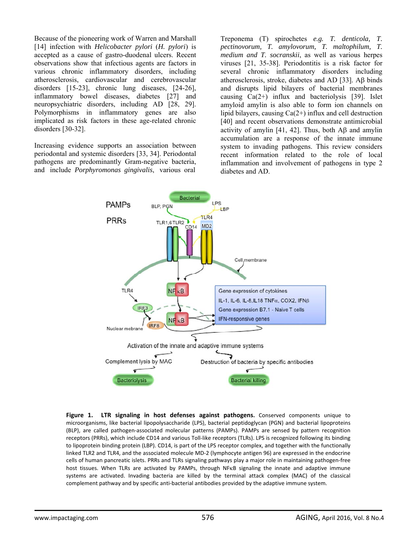Because of the pioneering work of Warren and Marshall [14] infection with *Helicobacter pylori* (*H. pylori*) is accepted as a cause of gastro-duodenal ulcers. Recent observations show that infectious agents are factors in various chronic inflammatory disorders, including atherosclerosis, cardiovascular and cerebrovascular disorders [15-23], chronic lung diseases, [24-26], inflammatory bowel diseases, diabetes [27] and neuropsychiatric disorders, including AD [28, 29]. Polymorphisms in inflammatory genes are also implicated as risk factors in these age-related chronic disorders [30-32].

Increasing evidence supports an association between periodontal and systemic disorders [33, 34]. Periodontal pathogens are predominantly Gram-negative bacteria, and include *Porphyromonas gingivalis*, various oral

Treponema (T) spirochetes *e.g. T. denticola, T. pectinovorum, T. amylovorum, T. maltophilum, T. medium and T. socranskii*, as well as various herpes viruses [21, 35-38]. Periodontitis is a risk factor for several chronic inflammatory disorders including atherosclerosis, stroke, diabetes and AD [33]. Aβ binds and disrupts lipid bilayers of bacterial membranes causing  $Ca(2+)$  influx and bacteriolysis [39]. Islet amyloid amylin is also able to form ion channels on lipid bilayers, causing  $Ca(2+)$  influx and cell destruction [40] and recent observations demonstrate antimicrobial activity of amylin [41, 42]. Thus, both  $\text{A}\beta$  and amylin accumulation are a response of the innate immune system to invading pathogens. This review considers recent information related to the role of local inflammation and involvement of pathogens in type 2 diabetes and AD.



complement pathway and by specific anti-bacterial antibodies provided by the adaptive immune system. **Figure 1. LTR signaling in host defenses against pathogens.** Conserved components unique to microorganisms, like bacterial lipopolysaccharide (LPS), bacterial peptidoglycan (PGN) and bacterial lipoproteins (BLP), are called pathogen-associated molecular patterns (PAMPs). PAMPs are sensed by pattern recognition receptors (PRRs), which include CD14 and various Toll‐like receptors (TLRs). LPS is recognized following its binding to lipoprotein binding protein (LBP). CD14, is part of the LPS receptor complex, and together with the functionally linked TLR2 and TLR4, and the associated molecule MD‐2 (lymphocyte antigen 96) are expressed in the endocrine cells of human pancreatic islets. PRRs and TLRs signaling pathways play a major role in maintaining pathogen‐free host tissues. When TLRs are activated by PAMPs, through NFKB signaling the innate and adaptive immune systems are activated. Invading bacteria are killed by the terminal attack complex (MAC) of the classical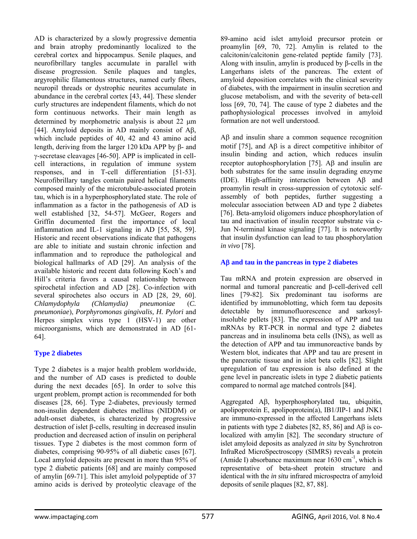AD is characterized by a slowly progressive dementia and brain atrophy predominantly localized to the cerebral cortex and hippocampus. Senile plaques, and neurofibrillary tangles accumulate in parallel with disease progression. Senile plaques and tangles, argyrophilic filamentous structures, named curly fibers, neuropil threads or dystrophic neurites accumulate in abundance in the cerebral cortex [43, 44]. These slender curly structures are independent filaments, which do not form continuous networks. Their main length as determined by morphometric analysis is about 22 μm [44]. Amyloid deposits in AD mainly consist of Aβ, which include peptides of 40, 42 and 43 amino acid length, deriving from the larger 120 kDa APP by β- and γ-secretase cleavages [46-50]. APP is implicated in cellcell interactions, in regulation of immune system responses, and in T-cell differentiation [51-53]. Neurofibrillary tangles contain paired helical filaments composed mainly of the microtubule-associated protein tau, which is in a hyperphosphorylated state. The role of inflammation as a factor in the pathogenesis of AD is well established [32, 54-57]. McGeer, Rogers and Griffin documented first the importance of local inflammation and IL-1 signaling in AD [55, 58, 59]. Historic and recent observations indicate that pathogens are able to initiate and sustain chronic infection and inflammation and to reproduce the pathological and biological hallmarks of AD [29]. An analysis of the available historic and recent data following Koch's and Hill's criteria favors a causal relationship between spirochetal infection and AD [28]. Co-infection with several spirochetes also occurs in AD [28, 29, 60]. *Chlamydophyla (Chlamydia) pneumoniae* (*C. pneumoniae*), *Porphyromonas gingivalis, H. Pylori* and Herpes simplex virus type 1 (HSV-1) are other microorganisms, which are demonstrated in AD [61- 64].

# **Type 2 diabetes**

Type 2 diabetes is a major health problem worldwide, and the number of AD cases is predicted to double during the next decades [65]. In order to solve this urgent problem, prompt action is recommended for both diseases [28, 66]. Type 2-diabetes, previously termed non-insulin dependent diabetes mellitus (NIDDM) or adult-onset diabetes, is characterized by progressive destruction of islet β-cells, resulting in decreased insulin production and decreased action of insulin on peripheral tissues. Type 2 diabetes is the most common form of diabetes, comprising 90-95% of all diabetic cases [67]. Local amyloid deposits are present in more than 95% of type 2 diabetic patients [68] and are mainly composed of amylin [69-71]. This islet amyloid polypeptide of 37 amino acids is derived by proteolytic cleavage of the

89-amino acid islet amyloid precursor protein or proamylin [69, 70, 72]. Amylin is related to the calcitonin/calcitonin gene-related peptide family [73]. Along with insulin, amylin is produced by β-cells in the Langerhans islets of the pancreas. The extent of amyloid deposition correlates with the clinical severity of diabetes, with the impairment in insulin secretion and glucose metabolism, and with the severity of beta-cell loss [69, 70, 74]. The cause of type 2 diabetes and the pathophysiological processes involved in amyloid formation are not well understood.

Aβ and insulin share a common sequence recognition motif [75], and Aβ is a direct competitive inhibitor of insulin binding and action, which reduces insulin receptor autophosphorylation [75]. Aβ and insulin are both substrates for the same insulin degrading enzyme (IDE). High-affinity interaction between Aβ and proamylin result in cross-suppression of cytotoxic selfassembly of both peptides, further suggesting a molecular association between AD and type 2 diabetes [76]. Beta-amyloid oligomers induce phosphorylation of tau and inactivation of insulin receptor substrate via c-Jun N-terminal kinase signaling [77]. It is noteworthy that insulin dysfunction can lead to tau phosphorylation *in vivo* [78].

# **A**β **and tau in the pancreas in type 2 diabetes**

Tau mRNA and protein expression are observed in normal and tumoral pancreatic and β-cell-derived cell lines [79-82]. Six predominant tau isoforms are identified by immunoblotting, which form tau deposits detectable by immunofluorescence and sarkosylinsoluble pellets [83]. The expression of APP and tau mRNAs by RT-PCR in normal and type 2 diabetes pancreas and in insulinoma beta cells (INS), as well as the detection of APP and tau immunoreactive bands by Western blot, indicates that APP and tau are present in the pancreatic tissue and in islet beta cells [82]. Slight upregulation of tau expression is also defined at the gene level in pancreatic islets in type 2 diabetic patients compared to normal age matched controls [84].

Aggregated Aβ, hyperphosphorylated tau, ubiquitin, apolipoprotein E, apolipoprotein(a), IB1/JIP-1 and JNK1 are immuno-expressed in the affected Langerhans islets in patients with type 2 diabetes [82, 85, 86] and Aβ is colocalized with amylin [82]. The secondary structure of islet amyloid deposits as analyzed *in situ* by Synchrotron InfraRed MicroSpectroscopy (SIMRS) reveals a protein (Amide I) absorbance maximum near  $1630 \text{ cm}^{-1}$ , which is representative of beta-sheet protein structure and identical with the *in situ* infrared microspectra of amyloid deposits of senile plaques [82, 87, 88].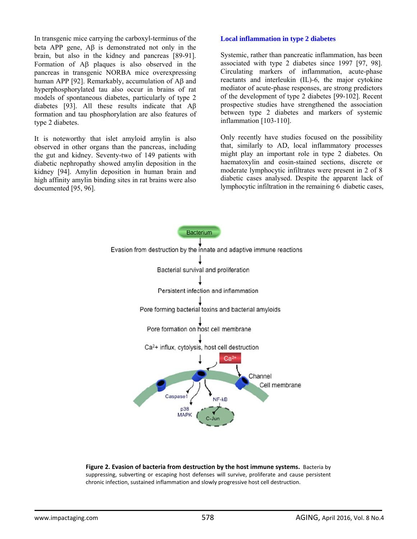In transgenic mice carrying the carboxyl-terminus of the beta APP gene, Aβ is demonstrated not only in the brain, but also in the kidney and pancreas [89-91]. Formation of Aβ plaques is also observed in the pancreas in transgenic NORBA mice overexpressing human APP [92]. Remarkably, accumulation of Aβ and hyperphosphorylated tau also occur in brains of rat models of spontaneous diabetes, particularly of type 2 diabetes [93]. All these results indicate that Aβ formation and tau phosphorylation are also features of type 2 diabetes.

It is noteworthy that islet amyloid amylin is also observed in other organs than the pancreas, including the gut and kidney. Seventy-two of 149 patients with diabetic nephropathy showed amylin deposition in the kidney [94]. Amylin deposition in human brain and high affinity amylin binding sites in rat brains were also documented [95, 96].

#### **Local inflammation in type 2 diabetes**

Systemic, rather than pancreatic inflammation, has been associated with type 2 diabetes since 1997 [97, 98]. Circulating markers of inflammation, acute-phase reactants and interleukin (IL)-6, the major cytokine mediator of acute-phase responses, are strong predictors of the development of type 2 diabetes [99-102]. Recent prospective studies have strengthened the association between type 2 diabetes and markers of systemic inflammation [103-110].

Only recently have studies focused on the possibility that, similarly to AD, local inflammatory processes might play an important role in type 2 diabetes. On haematoxylin and eosin-stained sections, discrete or moderate lymphocytic infiltrates were present in 2 of 8 diabetic cases analysed. Despite the apparent lack of lymphocytic infiltration in the remaining 6 diabetic cases,



**Figure 2. Evasion of bacteria from destruction by the host immune systems.** Bacteria by suppressing, subverting or escaping host defenses will survive, proliferate and cause persistent chronic infection, sustained inflammation and slowly progressive host cell destruction.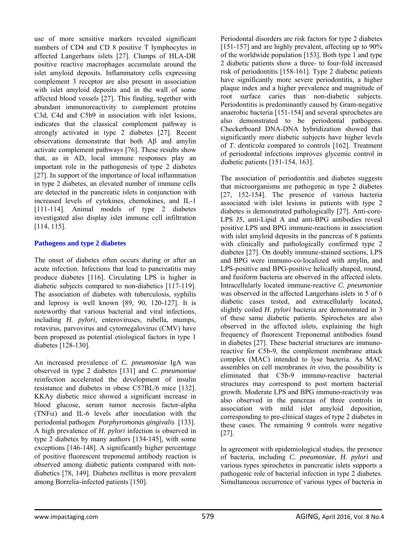use of more sensitive markers revealed significant numbers of CD4 and CD 8 positive T lymphocytes in affected Langerhans islets [27]. Clumps of HLA-DR positive reactive macrophages accumulate around the islet amyloid deposits. Inflammatory cells expressing complement 3 receptor are also present in association with islet amyloid deposits and in the wall of some affected blood vessels [27]. This finding, together with abundant immunoreactivity to complement proteins C3d, C4d and C5b9 in association with islet lesions, indicates that the classical complement pathway is strongly activated in type 2 diabetes [27]. Recent observations demonstrate that both Aβ and amylin activate complement pathways [76]. These results show that, as in AD, local immune responses play an important role in the pathogenesis of type 2 diabetes [27]. In support of the importance of local inflammation in type 2 diabetes, an elevated number of immune cells are detected in the pancreatic islets in conjunction with increased levels of cytokines, chemokines, and IL-1 [111-114]. Animal models of type 2 diabetes investigated also display islet immune cell infiltration [114, 115].

# **Pathogens and type 2 diabetes**

The onset of diabetes often occurs during or after an acute infection. Infections that lead to pancreatitis may produce diabetes [116]. Circulating LPS is higher in diabetic subjects compared to non-diabetics [117-119]. The association of diabetes with tuberculosis, syphilis and leprosy is well known [89, 90, 120-127]. It is noteworthy that various bacterial and viral infections, including *H. pylori,* enteroviruses, rubella, mumps, rotavirus, parvovirus and cytomegalovirus (CMV) have been proposed as potential etiological factors in type 1 diabetes [128-130].

An increased prevalence of *C. pneumoniae* IgA was observed in type 2 diabetes [131] and *C. pneumoniae* reinfection accelerated the development of insulin resistance and diabetes in obese C57BL/6 mice [132]. KKAy diabetic mice showed a significant increase in blood glucose, serum tumor necrosis factor-alpha (TNF $\alpha$ ) and IL-6 levels after inoculation with the periodontal pathogen *Porphyromonas gingivalis* [133]. A high prevalence of *H. pylori* infection is observed in type 2 diabetes by many authors [134-145], with some exceptions [146-148]. A significantly higher percentage of positive fluorescent treponemal antibody reaction is observed among diabetic patients compared with nondiabetics [78, 149]. Diabetes mellitus is more prevalent among Borrelia-infected patients [150].

Periodontal disorders are risk factors for type 2 diabetes [151-157] and are highly prevalent, affecting up to 90% of the worldwide population [153]. Both type 1 and type 2 diabetic patients show a three- to four-fold increased risk of periodontitis [158-161]. Type 2 diabetic patients have significantly more severe periodontitis, a higher plaque index and a higher prevalence and magnitude of root surface caries than non-diabetic subjects. Periodontitis is predominantly caused by Gram-negative anaerobic bacteria [151-154] and several spirochetes are also demonstrated to be periodontal pathogens. Checkerboard DNA-DNA hybridization showed that significantly more diabetic subjects have higher levels of *T. denticola* compared to controls [162]. Treatment of periodontal infections improves glycemic control in diabetic patients [151-154, 163].

The association of periodontitis and diabetes suggests that microorganisms are pathogenic in type 2 diabetes [27, 152-154]. The presence of various bacteria associated with islet lesions in patients with type 2 diabetes is demonstrated pathologically [27]. Anti-core-LPS J5, anti-Lipid A and anti-BPG antibodies reveal positive LPS and BPG immune-reactions in association with islet amyloid deposits in the pancreas of 8 patients with clinically and pathologically confirmed type 2 diabetes [27]. On doubly immune-stained sections, LPS and BPG were immuno-co-localized with amylin, and LPS-positive and BPG-positive helically shaped, round, and fusiform bacteria are observed in the affected islets. Intracellularly located immune-reactive *C. pneumoniae*  was observed in the affected Langerhans islets in 5 of 6 diabetic cases tested, and extracellularly located, slightly coiled *H. pylori* bacteria are demonstrated in 3 of these same diabetic patients. Spirochetes are also observed in the affected islets, explaining the high frequency of fluorescent Treponemal antibodies found in diabetes [27]. These bacterial structures are immunoreactive for C5b-9, the complement membrane attack complex (MAC) intended to lyse bacteria. As MAC assembles on cell membranes *in vivo,* the possibility is eliminated that C5b-9 immuno-reactive bacterial structures may correspond to post mortem bacterial growth. Moderate LPS and BPG immuno-reactivity was also observed in the pancreas of three controls in association with mild islet amyloid deposition, corresponding to pre-clinical stages of type 2 diabetes in these cases. The remaining 9 controls were negative [27].

In agreement with epidemiological studies, the presence of bacteria, including *C. pneumoniae, H. pylori* and various types spirochetes in pancreatic islets supports a pathogenic role of bacterial infection in type 2 diabetes. Simultaneous occurrence of various types of bacteria in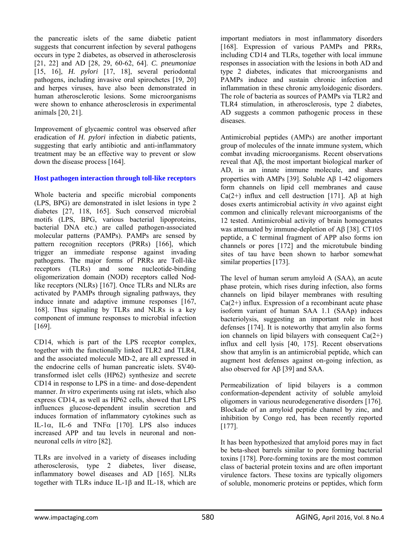the pancreatic islets of the same diabetic patient suggests that concurrent infection by several pathogens occurs in type 2 diabetes, as observed in atherosclerosis [21, 22] and AD [28, 29, 60-62, 64]. *C. pneumoniae* [15, 16], *H. pylori* [17, 18], several periodontal pathogens, including invasive oral spirochetes [19, 20] and herpes viruses, have also been demonstrated in human atherosclerotic lesions. Some microorganisms were shown to enhance atherosclerosis in experimental animals [20, 21].

Improvement of glycaemic control was observed after eradication of *H. pylori* infection in diabetic patients, suggesting that early antibiotic and anti-inflammatory treatment may be an effective way to prevent or slow down the disease process [164].

#### **Host pathogen interaction through toll-like receptors**

Whole bacteria and specific microbial components (LPS, BPG) are demonstrated in islet lesions in type 2 diabetes [27, 118, 165]. Such conserved microbial motifs (LPS, BPG, various bacterial lipoproteins, bacterial DNA etc.) are called pathogen-associated molecular patterns (PAMPs). PAMPs are sensed by pattern recognition receptors (PRRs) [166], which trigger an immediate response against invading pathogens. The major forms of PRRs are Toll-like receptors (TLRs) and some nucleotide-binding oligomerization domain (NOD) receptors called Nodlike receptors (NLRs) [167]. Once TLRs and NLRs are activated by PAMPs through signaling pathways, they induce innate and adaptive immune responses [167, 168]. Thus signaling by TLRs and NLRs is a key component of immune responses to microbial infection [169].

CD14, which is part of the LPS receptor complex, together with the functionally linked TLR2 and TLR4, and the associated molecule MD-2, are all expressed in the endocrine cells of human pancreatic islets. SV40 transformed islet cells (HP62) synthesize and secrete CD14 in response to LPS in a time- and dose-dependent manner. *In vitro* experiments using rat islets, which also express CD14, as well as HP62 cells, showed that LPS influences glucose-dependent insulin secretion and induces formation of inflammatory cytokines such as IL-1 $\alpha$ , IL-6 and TNF $\alpha$  [170]. LPS also induces increased APP and tau levels in neuronal and nonneuronal cells *in vitro* [82].

TLRs are involved in a variety of diseases including atherosclerosis, type 2 diabetes, liver disease, inflammatory bowel diseases and AD [165]. NLRs together with TLRs induce IL-1β and IL-18, which are important mediators in most inflammatory disorders [168]. Expression of various PAMPs and PRRs, including CD14 and TLRs, together with local immune responses in association with the lesions in both AD and type 2 diabetes, indicates that microorganisms and PAMPs induce and sustain chronic infection and inflammation in these chronic amyloidogenic disorders. The role of bacteria as sources of PAMPs via TLR2 and TLR4 stimulation, in atherosclerosis, type 2 diabetes, AD suggests a common pathogenic process in these diseases.

Antimicrobial peptides (AMPs) are another important group of molecules of the innate immune system, which combat invading microorganisms. Recent observations reveal that Aβ, the most important biological marker of AD, is an innate immune molecule, and shares properties with AMPs [39]. Soluble Aβ 1-42 oligomers form channels on lipid cell membranes and cause  $Ca(2+)$  influx and cell destruction [171]. AB at high doses exerts antimicrobial activity *in vivo* against eight common and clinically relevant microorganisms of the 12 tested. Antimicrobial activity of brain homogenates was attenuated by immune-depletion of Aβ [38]. CT105 peptide, a C terminal fragment of APP also forms ion channels or pores [172] and the microtubule binding sites of tau have been shown to harbor somewhat similar properties [173].

The level of human serum amyloid A (SAA), an acute phase protein, which rises during infection, also forms channels on lipid bilayer membranes with resulting  $Ca(2+)$  influx. Expression of a recombinant acute phase isoform variant of human SAA 1.1 (SAAp) induces bacteriolysis, suggesting an important role in host defenses [174]. It is noteworthy that amylin also forms ion channels on lipid bilayers with consequent  $Ca(2+)$ influx and cell lysis [40, 175]. Recent observations show that amylin is an antimicrobial peptide, which can augment host defenses against on-going infection, as also observed for Aβ [39] and SAA.

Permeabilization of lipid bilayers is a common conformation-dependent activity of soluble amyloid oligomers in various neurodegenerative disorders [176]. Blockade of an amyloid peptide channel by zinc, and inhibition by Congo red, has been recently reported [177].

It has been hypothesized that amyloid pores may in fact be beta-sheet barrels similar to pore forming bacterial toxins [178]. Pore-forming toxins are the most common class of bacterial protein toxins and are often important virulence factors. These toxins are typically oligomers of soluble, monomeric proteins or peptides, which form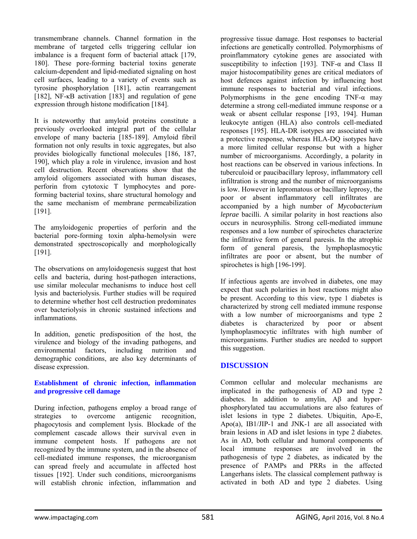transmembrane channels. Channel formation in the membrane of targeted cells triggering cellular ion imbalance is a frequent form of bacterial attack [179, 180]. These pore-forming bacterial toxins generate calcium-dependent and lipid-mediated signaling on host cell surfaces, leading to a variety of events such as tyrosine phosphorylation [181], actin rearrangement [182], NF-κB activation [183] and regulation of gene expression through histone modification [184].

It is noteworthy that amyloid proteins constitute a previously overlooked integral part of the cellular envelope of many bacteria [185-189]. Amyloid fibril formation not only results in toxic aggregates, but also provides biologically functional molecules [186, 187, 190], which play a role in virulence, invasion and host cell destruction. Recent observations show that the amyloid oligomers associated with human diseases, perforin from cytotoxic T lymphocytes and poreforming bacterial toxins, share structural homology and the same mechanism of membrane permeabilization [191].

The amyloidogenic properties of perforin and the bacterial pore-forming toxin alpha-hemolysin were demonstrated spectroscopically and morphologically [191].

The observations on amyloidogenesis suggest that host cells and bacteria, during host-pathogen interactions, use similar molecular mechanisms to induce host cell lysis and bacteriolysis. Further studies will be required to determine whether host cell destruction predominates over bacteriolysis in chronic sustained infections and inflammations.

In addition, genetic predisposition of the host, the virulence and biology of the invading pathogens, and environmental factors, including nutrition and demographic conditions, are also key determinants of disease expression.

#### **Establishment of chronic infection, inflammation and progressive cell damage**

During infection, pathogens employ a broad range of strategies to overcome antigenic recognition, phagocytosis and complement lysis. Blockade of the complement cascade allows their survival even in immune competent hosts. If pathogens are not recognized by the immune system, and in the absence of cell-mediated immune responses, the microorganism can spread freely and accumulate in affected host tissues [192]. Under such conditions, microorganisms will establish chronic infection, inflammation and

progressive tissue damage. Host responses to bacterial infections are genetically controlled. Polymorphisms of proinflammatory cytokine genes are associated with susceptibility to infection [193]. TNF- $\alpha$  and Class II major histocompatibility genes are critical mediators of host defences against infection by influencing host immune responses to bacterial and viral infections. Polymorphisms in the gene encoding  $TNF-\alpha$  may determine a strong cell-mediated immune response or a weak or absent cellular response [193, 194]. Human leukocyte antigen (HLA) also controls cell-mediated responses [195]. HLA-DR isotypes are associated with a protective response, whereas HLA-DQ isotypes have a more limited cellular response but with a higher number of microorganisms. Accordingly, a polarity in host reactions can be observed in various infections. In tuberculoid or paucibacillary leprosy, inflammatory cell infiltration is strong and the number of microorganisms is low. However in lepromatous or bacillary leprosy, the poor or absent inflammatory cell infiltrates are accompanied by a high number of *Mycobacterium leprae* bacilli. A similar polarity in host reactions also occurs in neurosyphilis. Strong cell-mediated immune responses and a low number of spirochetes characterize the infiltrative form of general paresis. In the atrophic form of general paresis, the lymphoplasmocytic infiltrates are poor or absent, but the number of spirochetes is high [196-199].

If infectious agents are involved in diabetes, one may expect that such polarities in host reactions might also be present. According to this view, type 1 diabetes is characterized by strong cell mediated immune response with a low number of microorganisms and type 2 diabetes is characterized by poor or absent lymphoplasmocytic infiltrates with high number of microorganisms. Further studies are needed to support this suggestion.

# **DISCUSSION**

Common cellular and molecular mechanisms are implicated in the pathogenesis of AD and type 2 diabetes. In addition to amylin, Aβ and hyperphosphorylated tau accumulations are also features of islet lesions in type 2 diabetes. Ubiquitin, Apo-E, Apo(a), IB1/JIP-1 and JNK-1 are all associated with brain lesions in AD and islet lesions in type 2 diabetes. As in AD, both cellular and humoral components of local immune responses are involved in the pathogenesis of type 2 diabetes, as indicated by the presence of PAMPs and PRRs in the affected Langerhans islets. The classical complement pathway is activated in both AD and type 2 diabetes. Using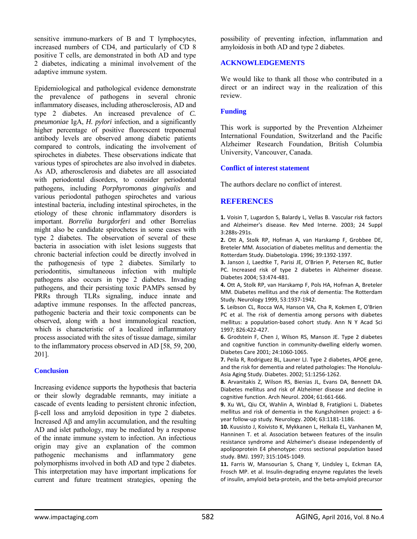sensitive immuno-markers of B and T lymphocytes, increased numbers of CD4, and particularly of CD 8 positive T cells, are demonstrated in both AD and type 2 diabetes, indicating a minimal involvement of the adaptive immune system.

Epidemiological and pathological evidence demonstrate the prevalence of pathogens in several chronic inflammatory diseases, including atherosclerosis, AD and type 2 diabetes. An increased prevalence of *C. pneumoniae* IgA, *H. pylori* infection, and a significantly higher percentage of positive fluorescent treponemal antibody levels are observed among diabetic patients compared to controls, indicating the involvement of spirochetes in diabetes. These observations indicate that various types of spirochetes are also involved in diabetes. As AD, atherosclerosis and diabetes are all associated with periodontal disorders, to consider periodontal pathogens, including *Porphyromonas gingivalis* and various periodontal pathogen spirochetes and various intestinal bacteria, including intestinal spirochetes, in the etiology of these chronic inflammatory disorders is important. *Borrelia burgdorferi* and other Borrelias might also be candidate spirochetes in some cases with type 2 diabetes. The observation of several of these bacteria in association with islet lesions suggests that chronic bacterial infection could be directly involved in the pathogenesis of type 2 diabetes. Similarly to periodontitis, simultaneous infection with multiple pathogens also occurs in type 2 diabetes. Invading pathogens, and their persisting toxic PAMPs sensed by PRRs through TLRs signaling, induce innate and adaptive immune responses. In the affected pancreas, pathogenic bacteria and their toxic components can be observed, along with a host immunological reaction, which is characteristic of a localized inflammatory process associated with the sites of tissue damage, similar to the inflammatory process observed in AD [58, 59, 200, 201].

# **Conclusion**

Increasing evidence supports the hypothesis that bacteria or their slowly degradable remnants, may initiate a cascade of events leading to persistent chronic infection, β-cell loss and amyloid deposition in type 2 diabetes. Increased Aβ and amylin accumulation, and the resulting AD and islet pathology, may be mediated by a response of the innate immune system to infection. An infectious origin may give an explanation of the common pathogenic mechanisms and inflammatory gene polymorphisms involved in both AD and type 2 diabetes. This interpretation may have important implications for current and future treatment strategies, opening the

possibility of preventing infection, inflammation and amyloidosis in both AD and type 2 diabetes.

### **ACKNOWLEDGEMENTS**

We would like to thank all those who contributed in a direct or an indirect way in the realization of this review.

#### **Funding**

This work is supported by the Prevention Alzheimer International Foundation, Switzerland and the Pacific Alzheimer Research Foundation, British Columbia University, Vancouver, Canada.

#### **Conflict of interest statement**

The authors declare no conflict of interest.

# **REFERENCES**

**1.** Voisin T, Lugardon S, Balardy L, Vellas B. Vascular risk factors and Alzheimer's disease. Rev Med Interne. 2003; 24 Suppl 3:288s‐291s.

**2.** Ott A, Stolk RP, Hofman A, van Harskamp F, Grobbee DE, Breteler MM. Association of diabetes mellitus and dementia: the Rotterdam Study. Diabetologia. 1996; 39:1392‐1397.

**3.** Janson J, Laedtke T, Parisi JE, O'Brien P, Petersen RC, Butler PC. Increased risk of type 2 diabetes in Alzheimer disease. Diabetes 2004; 53:474‐481.

**4.** Ott A, Stolk RP, van Harskamp F, Pols HA, Hofman A, Breteler MM. Diabetes mellitus and the risk of dementia: The Rotterdam Study. Neurology 1999, 53:1937‐1942.

**5.** Leibson CL, Rocca WA, Hanson VA, Cha R, Kokmen E, O'Brien PC et al. The risk of dementia among persons with diabetes mellitus: a population‐based cohort study. Ann N Y Acad Sci 1997; 826:422‐427.

**6.** Grodstein F, Chen J, Wilson RS, Manson JE. Type 2 diabetes and cognitive function in community‐dwelling elderly women. Diabetes Care 2001; 24:1060‐1065.

**7.** Peila R, Rodriguez BL, Launer LJ. Type 2 diabetes, APOE gene, and the risk for dementia and related pathologies: The Honolulu‐ Asia Aging Study. Diabetes. 2002; 51:1256‐1262.

**8.** Arvanitakis Z, Wilson RS, Bienias JL, Evans DA, Bennett DA. Diabetes mellitus and risk of Alzheimer disease and decline in cognitive function. Arch Neurol. 2004; 61:661‐666.

**9.** Xu WL, Qiu CX, Wahlin A, Winblad B, Fratiglioni L. Diabetes mellitus and risk of dementia in the Kungsholmen project: a 6‐ year follow‐up study. Neurology. 2004; 63:1181‐1186.

**10.** Kuusisto J, Koivisto K, Mykkanen L, Helkala EL, Vanhanen M, Hanninen T. et al. Association between features of the insulin resistance syndrome and Alzheimer's disease independently of apolipoprotein E4 phenotype: cross sectional population based study. BMJ. 1997; 315:1045‐1049.

**11.** Farris W, Mansourian S, Chang Y, Lindsley L, Eckman EA, Frosch MP. et al. Insulin‐degrading enzyme regulates the levels of insulin, amyloid beta‐protein, and the beta‐amyloid precursor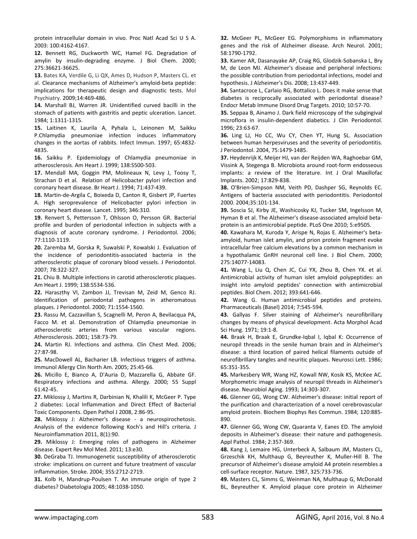protein intracellular domain in vivo. Proc Natl Acad Sci U S A. 2003: 100:4162‐4167.

**12.** Bennett RG, Duckworth WC, Hamel FG. Degradation of amylin by insulin‐degrading enzyme. J Biol Chem. 2000; 275:36621‐36625.

**13.** Bates KA, Verdile G, Li QX, Ames D, Hudson P, Masters CL. et al. Clearance mechanisms of Alzheimer's amyloid‐beta peptide: implications for therapeutic design and diagnostic tests. Mol Psychiatry. 2009;14:469‐486.

**14.** Marshall BJ, Warren JR. Unidentified curved bacilli in the stomach of patients with gastritis and peptic ulceration. Lancet. 1984; 1:1311‐1315.

**15.** Laitinen K, Laurila A, Pyhala L, Leinonen M, Saikku P.Chlamydia pneumoniae infection induces inflammatory changes in the aortas of rabbits. Infect Immun. 1997; 65:4832‐ 4835.

**16.** Saikku P. Epidemiology of Chlamydia pneumoniae in atherosclerosis. Am Heart J. 1999; 138:S500‐503.

**17.** Mendall MA, Goggin PM, Molineaux N, Levy J, Toosy T, Strachan D et al. Relation of Helicobacter pylori infection and coronary heart disease. Br Heart J. 1994; 71:437‐439.

**18.** Martin‐de‐Argila C, Boixeda D, Canton R, Gisbert JP, Fuertes A. High seroprevalence of Helicobacter pylori infection in coronary heart disease. Lancet. 1995; 346:310.

**19.** Renvert S, Pettersson T, Ohlsson O, Persson GR. Bacterial profile and burden of periodontal infection in subjects with a diagnosis of acute coronary syndrome. J Periodontol. 2006; 77:1110‐1119.

**20.** Zaremba M, Gorska R, Suwalski P, Kowalski J. Evaluation of the incidence of periodontitis‐associated bacteria in the atherosclerotic plaque of coronary blood vessels. J Periodontol. 2007; 78:322‐327.

**21.** Chiu B. Multiple infections in carotid atherosclerotic plaques. Am Heart J. 1999; 138:S534‐536.

**22.** Haraszthy VI, Zambon JJ, Trevisan M, Zeid M, Genco RJ. Identification of periodontal pathogens in atheromatous plaques. J Periodontol. 2000; 71:1554‐1560.

**23.** Rassu M, Cazzavillan S, Scagnelli M, Peron A, Bevilacqua PA, Facco M. et al. Demonstration of Chlamydia pneumoniae in atherosclerotic arteries from various vascular regions. Atherosclerosis. 2001; 158:73‐79.

**24.** Martin RJ. Infections and asthma. Clin Chest Med. 2006; 27:87‐98.

**25.** MacDowell AL, Bacharier LB. Infectious triggers of asthma. Immunol Allergy Clin North Am. 2005; 25:45‐66.

**26.** Micillo E, Bianco A, D'Auria D, Mazzarella G, Abbate GF. Respiratory infections and asthma. Allergy. 2000; 55 Suppl 61:42‐45.

**27.** Miklossy J, Martins R, Darbinian N, Khalili K, McGeer P. Type 2 diabetes: Local Inflammation and Direct Effect of Bacterial Toxic Components. Open Pathol J 2008, 2:86‐95.

**28.** Miklossy J: Alzheimer's disease ‐ a neurospirochetosis. Analysis of the evidence following Koch's and Hill's criteria. J Neuroinflammation 2011, 8(1):90.

**29.** Miklossy J: Emerging roles of pathogens in Alzheimer disease. Expert Rev Mol Med. 2011; 13:e30.

**30.** DeGraba TJ. Immunogenetic susceptibility of atherosclerotic stroke: implications on current and future treatment of vascular inflammation. Stroke. 2004; 35S:2712‐2719.

**31.** Kolb H, Mandrup‐Poulsen T. An immune origin of type 2 diabetes? Diabetologia 2005; 48:1038‐1050.

**32.** McGeer PL, McGeer EG. Polymorphisms in inflammatory genes and the risk of Alzheimer disease. Arch Neurol. 2001; 58:1790‐1792.

**33.** Kamer AR, Dasanayake AP, Craig RG, Glodzik‐Sobanska L, Bry M, de Leon MJ. Alzheimer's disease and peripheral infections: the possible contribution from periodontal infections, model and hypothesis. J Alzheimer's Dis. 2008; 13:437‐449.

**34.** Santacroce L, Carlaio RG, Bottalico L. Does it make sense that diabetes is reciprocally associated with periodontal disease? Endocr Metab Immune Disord Drug Targets. 2010; 10:57‐70.

**35.** Seppaa B, Ainamo J. Dark field microscopy of the subgingival microflora in insulin‐dependent diabetics. J Clin Periodontol. 1996; 23:63‐67.

**36.** Ling LJ, Ho CC, Wu CY, Chen YT, Hung SL. Association between human herpesviruses and the severity of periodontitis. J Periodontol. 2004, 75:1479‐1485.

**37.** Heydenrijk K, Meijer HJ, van der Reijden WA, Raghoebar GM, Vissink A, Stegenga B. Microbiota around root‐form endosseous implants: a review of the literature. Int J Oral Maxillofac Implants. 2002; 17:829‐838.

**38.** O'Brien‐Simpson NM, Veith PD, Dashper SG, Reynolds EC. Antigens of bacteria associated with periodontitis. Periodontol 2000. 2004;35:101‐134.

**39.** Soscia SJ, Kirby JE, Washicosky KJ, Tucker SM, Ingelsson M, Hyman B et al. The Alzheimer's disease‐associated amyloid beta‐ protein is an antimicrobial peptide. PLoS One 2010; 5:e9505.

**40.** Kawahara M, Kuroda Y, Arispe N, Rojas E. Alzheimer's beta‐ amyloid, human islet amylin, and prion protein fragment evoke intracellular free calcium elevations by a common mechanism in a hypothalamic GnRH neuronal cell line. J Biol Chem. 2000; 275:14077‐14083.

**41.** Wang L, Liu Q, Chen JC, Cui YX, Zhou B, Chen YX. et al. Antimicrobial activity of human islet amyloid polypeptides: an insight into amyloid peptides' connection with antimicrobial peptides. Biol Chem. 2012; 393:641‐646.

**42.** Wang G. Human antimicrobial peptides and proteins. Pharmaceuticals (Basel) 2014; 7:545‐594.

**43.** Gallyas F. Silver staining of Alzheimer's neurofibrillary changes by means of physical development. Acta Morphol Acad Sci Hung. 1971; 19:1‐8.

**44.** Braak H, Braak E, Grundke‐Iqbal I, Iqbal K: Occurrence of neuropil threads in the senile human brain and in Alzheimer's disease: a third location of paired helical filaments outside of neurofibrillary tangles and neuritic plaques. Neurosci Lett. 1986; 65:351‐355.

**45.** Markesbery WR, Wang HZ, Kowall NW, Kosik KS, McKee AC. Morphometric image analysis of neuropil threads in Alzheimer's disease. Neurobiol Aging. 1993; 14:303‐307.

**46.** Glenner GG, Wong CW. Alzheimer's disease: initial report of the purification and characterization of a novel cerebrovascular amyloid protein. Biochem Biophys Res Commun. 1984; 120:885‐ 890.

**47.** Glenner GG, Wong CW, Quaranta V, Eanes ED. The amyloid deposits in Alzheimer's disease: their nature and pathogenesis. Appl Pathol. 1984; 2:357‐369.

**48.** Kang J, Lemaire HG, Unterbeck A, Salbaum JM, Masters CL, Grzeschik KH, Multhaup G, Beyreuther K, Muller‐Hill B. The precursor of Alzheimer's disease amyloid A4 protein resembles a cell‐surface receptor. Nature. 1987, 325:733‐736.

**49.** Masters CL, Simms G, Weinman NA, Multhaup G, McDonald BL, Beyreuther K. Amyloid plaque core protein in Alzheimer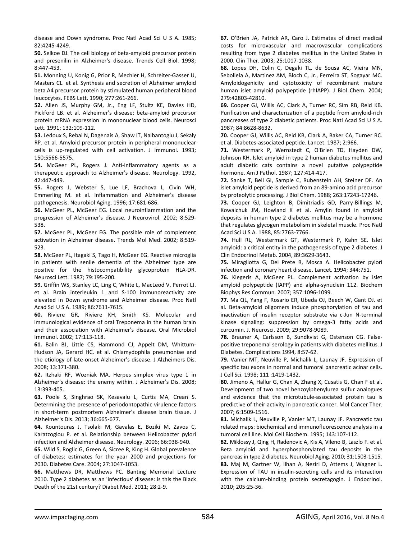disease and Down syndrome. Proc Natl Acad Sci U S A. 1985; 82:4245‐4249.

**50.** Selkoe DJ. The cell biology of beta‐amyloid precursor protein and presenilin in Alzheimer's disease. Trends Cell Biol. 1998; 8:447‐453.

**51.** Monning U, Konig G, Prior R, Mechler H, Schreiter‐Gasser U, Masters CL. et al. Synthesis and secretion of Alzheimer amyloid beta A4 precursor protein by stimulated human peripheral blood leucocytes. FEBS Lett. 1990; 277:261‐266.

**52.** Allen JS, Murphy GM, Jr., Eng LF, Stultz KE, Davies HD, Pickford LB. et al. Alzheimer's disease: beta‐amyloid precursor protein mRNA expression in mononuclear blood cells. Neurosci Lett. 1991; 132:109‐112.

**53.** Ledoux S, Rebai N, Dagenais A, Shaw IT, Nalbantoglu J, Sekaly RP. et al. Amyloid precursor protein in peripheral mononuclear cells is up-regulated with cell activation. J Immunol. 1993; 150:5566‐5575.

**54.** McGeer PL, Rogers J. Anti‐inflammatory agents as a therapeutic approach to Alzheimer's disease. Neurology. 1992, 42:447‐449.

**55.** Rogers J, Webster S, Lue LF, Brachova L, Civin WH, Emmerling M. et al. Inflammation and Alzheimer's disease pathogenesis. Neurobiol Aging. 1996; 17:681‐686.

**56.** McGeer PL, McGeer EG. Local neuroinflammation and the progression of Alzheimer's disease. J Neurovirol. 2002; 8:529‐ 538.

**57.** McGeer PL, McGeer EG. The possible role of complement activation in Alzheimer disease. Trends Mol Med. 2002; 8:519‐ 523.

**58.** McGeer PL, Itagaki S, Tago H, McGeer EG. Reactive microglia in patients with senile dementia of the Alzheimer type are positive for the histocompatibility glycoprotein HLA‐DR. Neurosci Lett. 1987; 79:195‐200.

**59.** Griffin WS, Stanley LC, Ling C, White L, MacLeod V, Perrot LJ. et al. Brain interleukin 1 and S‐100 immunoreactivity are elevated in Down syndrome and Alzheimer disease. Proc Natl Acad Sci U S A. 1989; 86:7611‐7615.

**60.** Riviere GR, Riviere KH, Smith KS. Molecular and immunological evidence of oral Treponema in the human brain and their association with Alzheimer's disease. Oral Microbiol Immunol. 2002; 17:113‐118.

**61.** Balin BJ, Little CS, Hammond CJ, Appelt DM, Whittum‐ Hudson JA, Gerard HC. et al. Chlamydophila pneumoniae and the etiology of late‐onset Alzheimer's disease. J Alzheimers Dis. 2008; 13:371‐380.

**62.** Itzhaki RF, Wozniak MA. Herpes simplex virus type 1 in Alzheimer's disease: the enemy within. J Alzheimer's Dis. 2008; 13:393‐405.

**63.** Poole S, Singhrao SK, Kesavalu L, Curtis MA, Crean S. Determining the presence of periodontopathic virulence factors in short-term postmortem Alzheimer's disease brain tissue. J Alzheimer's Dis. 2013; 36:665‐677.

**64.** Kountouras J, Tsolaki M, Gavalas E, Boziki M, Zavos C, Karatzoglou P. et al. Relationship between Helicobacter pylori infection and Alzheimer disease. Neurology. 2006; 66:938‐940.

**65.** Wild S, Roglic G, Green A, Sicree R, King H. Global prevalence of diabetes: estimates for the year 2000 and projections for 2030. Diabetes Care. 2004; 27:1047‐1053.

**66.** Matthews DR, Matthews PC. Banting Memorial Lecture 2010. Type 2 diabetes as an 'infectious' disease: is this the Black Death of the 21st century? Diabet Med. 2011; 28:2‐9.

**67.** O'Brien JA, Patrick AR, Caro J. Estimates of direct medical costs for microvascular and macrovascular complications resulting from type 2 diabetes mellitus in the United States in 2000. Clin Ther. 2003; 25:1017‐1038.

**68.** Lopes DH, Colin C, Degaki TL, de Sousa AC, Vieira MN, Sebollela A, Martinez AM, Bloch C, Jr., Ferreira ST, Sogayar MC. Amyloidogenicity and cytotoxicity of recombinant mature human islet amyloid polypeptide (rhIAPP). J Biol Chem. 2004; 279:42803‐42810.

**69.** Cooper GJ, Willis AC, Clark A, Turner RC, Sim RB, Reid KB. Purification and characterization of a peptide from amyloid‐rich pancreases of type 2 diabetic patients. Proc Natl Acad Sci U S A. 1987; 84:8628‐8632.

**70.** Cooper GJ, Willis AC, Reid KB, Clark A, Baker CA, Turner RC. et al. Diabetes‐associated peptide. Lancet. 1987; 2:966.

**71.** Westermark P, Wernstedt C, O'Brien TD, Hayden DW, Johnson KH. Islet amyloid in type 2 human diabetes mellitus and adult diabetic cats contains a novel putative polypeptide hormone. Am J Pathol. 1987; 127:414‐417.

**72.** Sanke T, Bell GI, Sample C, Rubenstein AH, Steiner DF. An islet amyloid peptide is derived from an 89‐amino acid precursor by proteolytic processing. J Biol Chem. 1988; 263:17243‐17246.

**73.** Cooper GJ, Leighton B, Dimitriadis GD, Parry‐Billings M, Kowalchuk JM, Howland K et al. Amylin found in amyloid deposits in human type 2 diabetes mellitus may be a hormone that regulates glycogen metabolism in skeletal muscle. Proc Natl Acad Sci U S A. 1988, 85:7763‐7766.

**74.** Hull RL, Westermark GT, Westermark P, Kahn SE. Islet amyloid: a critical entity in the pathogenesis of type 2 diabetes. J Clin Endocrinol Metab. 2004, 89:3629‐3643.

**75.** Miragliotta G, Del Prete R, Mosca A. Helicobacter pylori infection and coronary heart disease. Lancet. 1994; 344:751.

**76.** Klegeris A, McGeer PL. Complement activation by islet amyloid polypeptide (IAPP) and alpha‐synuclein 112. Biochem Biophys Res Commun. 2007; 357:1096‐1099.

**77.** Ma QL, Yang F, Rosario ER, Ubeda OJ, Beech W, Gant DJ. et al. Beta‐amyloid oligomers induce phosphorylation of tau and inactivation of insulin receptor substrate via c‐Jun N‐terminal kinase signaling: suppression by omega‐3 fatty acids and curcumin. J. Neurosci. 2009; 29:9078‐9089.

**78.** Brauner A, Carlsson B, Sundkvist G, Ostenson CG. False‐ positive treponemal serology in patients with diabetes mellitus. J Diabetes. Complications 1994, 8:57‐62.

**79.** Vanier MT, Neuville P, Michalik L, Launay JF. Expression of specific tau exons in normal and tumoral pancreatic acinar cells. J Cell Sci. 1998; 111 :1419‐1432.

**80.** Jimeno A, Hallur G, Chan A, Zhang X, Cusatis G, Chan F et al. Development of two novel benzoylphenylurea sulfur analogues and evidence that the microtubule‐associated protein tau is predictive of their activity in pancreatic cancer. Mol Cancer Ther. 2007; 6:1509‐1516.

**81.** Michalik L, Neuville P, Vanier MT, Launay JF. Pancreatic tau related maps: biochemical and immunofluorescence analysis in a tumoral cell line. Mol Cell Biochem. 1995; 143:107‐112.

**82.** Miklossy J, Qing H, Radenovic A, Kis A, Vileno B, Laszlo F. et al. Beta amyloid and hyperphosphorylated tau deposits in the pancreas in type 2 diabetes. Neurobiol Aging. 2010; 31:1503‐1515. **83.** Maj M, Gartner W, Ilhan A, Neziri D, Attems J, Wagner L. Expression of TAU in insulin‐secreting cells and its interaction with the calcium-binding protein secretagogin. J Endocrinol. 2010; 205:25‐36.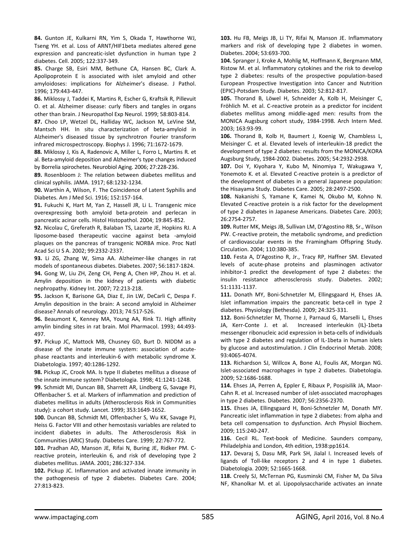**84.** Gunton JE, Kulkarni RN, Yim S, Okada T, Hawthorne WJ, Tseng YH. et al. Loss of ARNT/HIF1beta mediates altered gene expression and pancreatic‐islet dysfunction in human type 2 diabetes. Cell. 2005; 122:337‐349.

**85.** Charge SB, Esiri MM, Bethune CA, Hansen BC, Clark A. Apolipoprotein E is associated with islet amyloid and other amyloidoses: implications for Alzheimer's disease. J Pathol. 1996; 179:443‐447.

**86.** Miklossy J, Taddei K, Martins R, Escher G, Kraftsik R, Pillevuit O. et al. Alzheimer disease: curly fibers and tangles in organs other than brain. J Neuropathol Exp Neurol. 1999; 58:803‐814.

**87.** Choo LP, Wetzel DL, Halliday WC, Jackson M, LeVine SM, Mantsch HH. In situ characterization of beta‐amyloid in Alzheimer's diseased tissue by synchrotron Fourier transform infrared microspectroscopy. Biophys J. 1996; 71:1672‐1679.

**88.** Miklossy J, Kis A, Radenovic A, Miller L, Forro L, Martins R. et al. Beta‐amyloid deposition and Alzheimer's type changes induced by Borrelia spirochetes. Neurobiol Aging. 2006; 27:228‐236.

**89.** Rosenbloom J: The relation between diabetes mellitus and clinical syphilis. JAMA. 1917; 68:1232‐1234.

**90.** Warthin A, Wilson, F. The Coincidence of Latent Syphilis and Diabetes. Am J Med Sci. 1916; 152:157‐164.

**91.** Fukuchi K, Hart M, Yan Z, Hassell JR, Li L. Transgenic mice overexpressing both amyloid beta‐protein and perlecan in pancreatic acinar cells. Histol Histopathol. 2004; 19:845‐852.

**92.** Nicolau C, Greferath R, Balaban TS, Lazarte JE, Hopkins RJ. A liposome‐based therapeutic vaccine against beta ‐amyloid plaques on the pancreas of transgenic NORBA mice. Proc Natl Acad Sci U S A. 2002; 99:2332‐2337.

**93.** Li ZG, Zhang W, Sima AA. Alzheimer‐like changes in rat models of spontaneous diabetes. Diabetes. 2007; 56:1817‐1824. **94.** Gong W, Liu ZH, Zeng CH, Peng A, Chen HP, Zhou H. et al. Amylin deposition in the kidney of patients with diabetic nephropathy. Kidney Int. 2007; 72:213‐218.

**95.** Jackson K, Barisone GA, Diaz E, Jin LW, DeCarli C, Despa F. Amylin deposition in the brain: A second amyloid in Alzheimer disease? Annals of neurology. 2013; 74:517‐526.

**96.** Beaumont K, Kenney MA, Young AA, Rink TJ. High affinity amylin binding sites in rat brain. Mol Pharmacol. 1993; 44:493‐ 497.

**97.** Pickup JC, Mattock MB, Chusney GD, Burt D. NIDDM as a disease of the innate immune system: association of acute‐ phase reactants and interleukin‐6 with metabolic syndrome X. Diabetologia. 1997; 40:1286‐1292.

**98.** Pickup JC, Crook MA. Is type II diabetes mellitus a disease of the innate immune system? Diabetologia. 1998; 41:1241‐1248.

**99.** Schmidt MI, Duncan BB, Sharrett AR, Lindberg G, Savage PJ, Offenbacher S. et al. Markers of inflammation and prediction of diabetes mellitus in adults (Atherosclerosis Risk in Communities study): a cohort study. Lancet. 1999; 353:1649‐1652.

**100.** Duncan BB, Schmidt MI, Offenbacher S, Wu KK, Savage PJ, Heiss G. Factor VIII and other hemostasis variables are related to incident diabetes in adults. The Atherosclerosis Risk in Communities (ARIC) Study. Diabetes Care. 1999; 22:767‐772.

**101.** Pradhan AD, Manson JE, Rifai N, Buring JE, Ridker PM. C‐ reactive protein, interleukin 6, and risk of developing type 2 diabetes mellitus. JAMA. 2001; 286:327‐334.

**102.** Pickup JC. Inflammation and activated innate immunity in the pathogenesis of type 2 diabetes. Diabetes Care. 2004; 27:813‐823.

**103.** Hu FB, Meigs JB, Li TY, Rifai N, Manson JE. Inflammatory markers and risk of developing type 2 diabetes in women. Diabetes. 2004; 53:693‐700.

**104.** Spranger J, Kroke A, Mohlig M, Hoffmann K, Bergmann MM, Ristow M. et al. Inflammatory cytokines and the risk to develop type 2 diabetes: results of the prospective population‐based European Prospective Investigation into Cancer and Nutrition (EPIC)‐Potsdam Study. Diabetes. 2003; 52:812‐817.

**105.** Thorand B, Löwel H, Schneider A, Kolb H, Meisinger C, Fröhlich M. et al. C‐reactive protein as a predictor for incident diabetes mellitus among middle‐aged men: results from the MONICA Augsburg cohort study, 1984‐1998. Arch Intern Med. 2003; 163:93‐99.

**106.** Thorand B, Kolb H, Baumert J, Koenig W, Chambless L, Meisinger C. et al. Elevated levels of interleukin‐18 predict the development of type 2 diabetes: results from the MONICA/KORA Augsburg Study, 1984‐2002. Diabetes. 2005; 54:2932‐2938.

**107.** Doi Y, Kiyohara Y, Kubo M, Ninomiya T, Wakugawa Y, Yonemoto K. et al. Elevated C-reactive protein is a predictor of the development of diabetes in a general Japanese population: the Hisayama Study. Diabetes Care. 2005; 28:2497‐2500.

**108.** Nakanishi S, Yamane K, Kamei N, Okubo M, Kohno N. Elevated C‐reactive protein is a risk factor for the development of type 2 diabetes in Japanese Americans. Diabetes Care. 2003; 26:2754‐2757.

**109.** Rutter MK, Meigs JB, Sullivan LM, D'Agostino RB, Sr., Wilson PW. C-reactive protein, the metabolic syndrome, and prediction of cardiovascular events in the Framingham Offspring Study. Circulation. 2004; 110:380‐385.

**110.** Festa A, D'Agostino R, Jr., Tracy RP, Haffner SM. Elevated levels of acute‐phase proteins and plasminogen activator inhibitor‐1 predict the development of type 2 diabetes: the insulin resistance atherosclerosis study. Diabetes. 2002; 51:1131‐1137.

**111.** Donath MY, Boni‐Schnetzler M, Ellingsgaard H, Ehses JA. Islet inflammation impairs the pancreatic beta‐cell in type 2 diabetes. Physiology (Bethesda). 2009; 24:325‐331.

**112.** Boni‐Schnetzler M, Thorne J, Parnaud G, Marselli L, Ehses JA, Kerr-Conte J. et al. Increased interleukin (IL)-1beta messenger ribonucleic acid expression in beta‐cells of individuals with type 2 diabetes and regulation of IL-1beta in human islets by glucose and autostimulation. J Clin Endocrinol Metab. 2008; 93:4065‐4074.

**113.** Richardson SJ, Willcox A, Bone AJ, Foulis AK, Morgan NG. Islet-associated macrophages in type 2 diabetes. Diabetologia. 2009; 52:1686‐1688.

**114.** Ehses JA, Perren A, Eppler E, Ribaux P, Pospisilik JA, Maor‐ Cahn R. et al. Increased number of islet‐associated macrophages in type 2 diabetes. Diabetes. 2007; 56:2356‐2370.

**115.** Ehses JA, Ellingsgaard H, Boni‐Schnetzler M, Donath MY. Pancreatic islet inflammation in type 2 diabetes: from alpha and beta cell compensation to dysfunction. Arch Physiol Biochem. 2009; 115:240‐247.

**116.** Cecil RL. Text‐book of Medicine. Saunders company, Philadelphia and London, 4th edition, 1938:pp1614.

**117.** Devaraj S, Dasu MR, Park SH, Jialal I. Increased levels of ligands of Toll‐like receptors 2 and 4 in type 1 diabetes. Diabetologia. 2009; 52:1665‐1668.

**118.** Creely SJ, McTernan PG, Kusminski CM, Fisher M, Da Silva NF, Khanolkar M. et al. Lipopolysaccharide activates an innate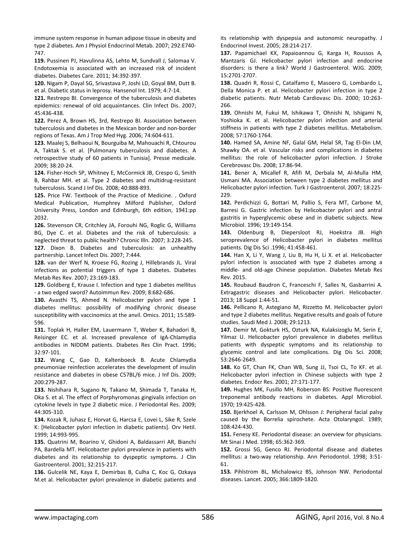immune system response in human adipose tissue in obesity and type 2 diabetes. Am J Physiol Endocrinol Metab. 2007; 292:E740‐ 747.

**119.** Pussinen PJ, Havulinna AS, Lehto M, Sundvall J, Salomaa V. Endotoxemia is associated with an increased risk of incident diabetes. Diabetes Care. 2011; 34:392‐397.

**120.** Nigam P, Dayal SG, Srivastava P, Joshi LD, Goyal BM, Dutt B. et al. Diabetic status in leprosy. Hansenol Int. 1979; 4:7‐14.

**121.** Restrepo BI. Convergence of the tuberculosis and diabetes epidemics: renewal of old acquaintances. Clin Infect Dis. 2007; 45:436‐438.

**122.** Perez A, Brown HS, 3rd, Restrepo BI. Association between tuberculosis and diabetes in the Mexican border and non‐border regions of Texas. Am J Trop Med Hyg. 2006; 74:604‐611.

**123.** Maalej S, Belhaoui N, Bourguiba M, Mahouachi R, Chtourou A, Taktak S. et al. [Pulmonary tuberculosis and diabetes. A retrospective study of 60 patients in Tunisia]. Presse medicale. 2009; 38:20‐24.

**124.** Fisher‐Hoch SP, Whitney E, McCormick JB, Crespo G, Smith B, Rahbar MH. et al. Type 2 diabetes and multidrug‐resistant tuberculosis. Scand J Inf Dis. 2008; 40:888‐893.

**125.** Price FW. Textbook of the Practice of Medicine. . Oxford Medical Publication, Humphrey Milford Publisher, Oxford University Press, London and Edinburgh, 6th edition, 1941:pp 2032.

**126.** Stevenson CR, Critchley JA, Forouhi NG, Roglic G, Williams BG, Dye C. et al. Diabetes and the risk of tuberculosis: a neglected threat to public health? Chronic Illn. 2007; 3:228‐245.

**127.** Dixon B. Diabetes and tuberculosis: an unhealthy partnership. Lancet Infect Dis. 2007; 7:444.

**128.** van der Werf N, Kroese FG, Rozing J, Hillebrands JL. Viral infections as potential triggers of type 1 diabetes. Diabetes Metab Res Rev. 2007; 23:169‐183.

**129.** Goldberg E, Krause I. Infection and type 1 diabetes mellitus ‐ a two edged sword? Autoimmun Rev. 2009; 8:682‐686.

**130.** Avasthi TS, Ahmed N. Helicobacter pylori and type 1 diabetes mellitus: possibility of modifying chronic disease susceptibility with vaccinomics at the anvil. Omics. 2011; 15:589‐ 596.

**131.** Toplak H, Haller EM, Lauermann T, Weber K, Bahadori B, Reisinger EC. et al. Increased prevalence of IgA‐Chlamydia antibodies in NIDDM patients. Diabetes Res Clin Pract. 1996; 32:97‐101.

**132.** Wang C, Gao D, Kaltenboeck B. Acute Chlamydia pneumoniae reinfection accelerates the development of insulin resistance and diabetes in obese C57BL/6 mice. J Inf Dis. 2009; 200:279‐287.

**133.** Nishihara R, Sugano N, Takano M, Shimada T, Tanaka H, Oka S. et al. The effect of Porphyromonas gingivalis infection on cytokine levels in type 2 diabetic mice. J Periodontal Res. 2009; 44:305‐310.

**134.** Kozak R, Juhasz E, Horvat G, Harcsa E, Lovei L, Sike R, Szele K: [Helicobacter pylori infection in diabetic patients]. Orv Hetil. 1999; 14:993‐995.

**135.** Quatrini M, Boarino V, Ghidoni A, Baldassarri AR, Bianchi PA, Bardella MT. Helicobacter pylori prevalence in patients with diabetes and its relationship to dyspeptic symptoms. J Clin Gastroenterol. 2001; 32:215‐217.

**136.** Gulcelik NE, Kaya E, Demirbas B, Culha C, Koc G, Ozkaya M.et al. Helicobacter pylori prevalence in diabetic patients and its relationship with dyspepsia and autonomic neuropathy. J Endocrinol Invest. 2005; 28:214‐217.

**137.** Papamichael KX, Papaioannou G, Karga H, Roussos A, Mantzaris GJ. Helicobacter pylori infection and endocrine disorders: is there a link? World J Gastroenterol. WJG. 2009; 15:2701‐2707.

**138.** Quadri R, Rossi C, Catalfamo E, Masoero G, Lombardo L, Della Monica P. et al. Helicobacter pylori infection in type 2 diabetic patients. Nutr Metab Cardiovasc Dis. 2000; 10:263‐ 266.

**139.** Ohnishi M, Fukui M, Ishikawa T, Ohnishi N, Ishigami N, Yoshioka K. et al. Helicobacter pylori infection and arterial stiffness in patients with type 2 diabetes mellitus. Metabolism. 2008; 57:1760‐1764.

**140.** Hamed SA, Amine NF, Galal GM, Helal SR, Tag El‐Din LM, Shawky OA. et al. Vascular risks and complications in diabetes mellitus: the role of helicobacter pylori infection. J Stroke Cerebrovasc Dis. 2008; 17:86‐94.

**141.** Bener A, Micallef R, Afifi M, Derbala M, Al‐Mulla HM, Usmani MA. Association between type 2 diabetes mellitus and Helicobacter pylori infection. Turk J Gastroenterol. 2007; 18:225‐ 229.

**142.** Perdichizzi G, Bottari M, Pallio S, Fera MT, Carbone M, Barresi G. Gastric infection by Helicobacter pylori and antral gastritis in hyperglycemic obese and in diabetic subjects. New Microbiol. 1996; 19:149‐154.

**143.** Oldenburg B, Diepersloot RJ, Hoekstra JB. High seroprevalence of Helicobacter pylori in diabetes mellitus patients. Dig Dis Sci .1996; 41:458‐461.

**144.** Han X, Li Y, Wang J, Liu B, Hu H, Li X. et al. Helicobacter pylori infection is associated with type 2 diabetes among a middle‐ and old‐age Chinese population. Diabetes Metab Res Rev. 2015.

**145.** Roubaud Baudron C, Franceschi F, Salles N, Gasbarrini A. Extragastric diseases and Helicobacter pylori. Helicobacter. 2013; 18 Suppl 1:44‐51.

**146.** Pellicano R, Astegiano M, Rizzetto M. Helicobacter pylori and type 2 diabetes mellitus. Negative results and goals of future studies. Saudi Med J. 2008; 29:1213.

**147.** Demir M, Gokturk HS, Ozturk NA, Kulaksizoglu M, Serin E, Yilmaz U. Helicobacter pylori prevalence in diabetes mellitus patients with dyspeptic symptoms and its relationship to glycemic control and late complications. Dig Dis Sci. 2008; 53:2646‐2649.

**148.** Ko GT, Chan FK, Chan WB, Sung JJ, Tsoi CL, To KF. et al. Helicobacter pylori infection in Chinese subjects with type 2 diabetes. Endocr Res. 2001; 27:171‐177.

**149.** Hughes MK, Fusillo MH, Roberson BS: Positive fluorescent treponemal antibody reactions in diabetes. Appl Microbiol. 1970; 19:425‐428.

**150.** Bjerkhoel A, Carlsson M, Ohlsson J: Peripheral facial palsy caused by the Borrelia spirochete. Acta Otolaryngol. 1989; 108:424‐430.

**151.** Fenesy KE. Periodontal disease: an overview for physicians. Mt Sinai J Med. 1998; 65:362‐369.

**152.** Grossi SG, Genco RJ. Periodontal disease and diabetes mellitus: a two‐way relationship. Ann Periodontol. 1998; 3:51‐ 61.

**153.** Pihlstrom BL, Michalowicz BS, Johnson NW. Periodontal diseases. Lancet. 2005; 366:1809‐1820.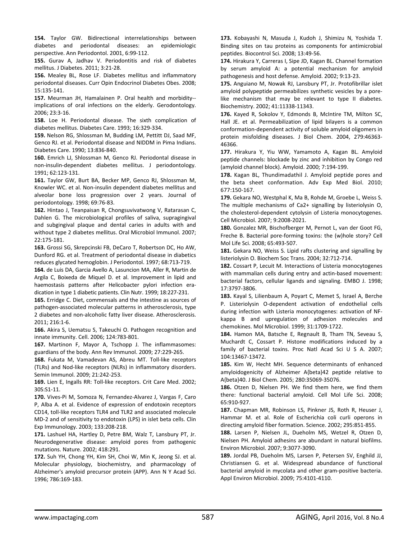**154.** Taylor GW. Bidirectional interrelationships between diabetes and periodontal diseases: an epidemiologic perspective. Ann Periodontol. 2001, 6:99‐112.

**155.** Gurav A, Jadhav V. Periodontitis and risk of diabetes mellitus. J Diabetes. 2011; 3:21‐28.

**156.** Mealey BL, Rose LF. Diabetes mellitus and inflammatory periodontal diseases. Curr Opin Endocrinol Diabetes Obes. 2008; 15:135‐141.

**157.** Meurman JH, Hamalainen P. Oral health and morbidity‐‐ implications of oral infections on the elderly. Gerodontology. 2006; 23:3‐16.

**158.** Loe H. Periodontal disease. The sixth complication of diabetes mellitus. Diabetes Care. 1993; 16:329‐334.

**159.** Nelson RG, Shlossman M, Budding LM, Pettitt DJ, Saad MF, Genco RJ. et al. Periodontal disease and NIDDM in Pima Indians. Diabetes Care. 1990; 13:836‐840.

**160.** Emrich LJ, Shlossman M, Genco RJ. Periodontal disease in non‐insulin‐dependent diabetes mellitus. J periodontology. 1991; 62:123‐131.

**161.** Taylor GW, Burt BA, Becker MP, Genco RJ, Shlossman M, Knowler WC. et al. Non‐insulin dependent diabetes mellitus and alveolar bone loss progression over 2 years. Journal of periodontology. 1998; 69:76‐83.

**162.** Hintao J, Teanpaisan R, Chongsuvivatwong V, Ratarasan C, Dahlen G. The microbiological profiles of saliva, supragingival and subgingival plaque and dental caries in adults with and without type 2 diabetes mellitus. Oral Microbiol Immunol. 2007; 22:175‐181.

**163.** Grossi SG, Skrepcinski FB, DeCaro T, Robertson DC, Ho AW, Dunford RG. et al. Treatment of periodontal disease in diabetics reduces glycated hemoglobin. J Periodontol. 1997; 68:713‐719.

**164.** de Luis DA, Garcia Avello A, Lasuncion MA, Aller R, Martin de Argila C, Boixeda de Miquel D. et al. Improvement in lipid and haemostasis patterns after Helicobacter pylori infection eradication in type 1 diabetic patients. Clin Nutr. 1999; 18:227‐231.

**165.** Erridge C. Diet, commensals and the intestine as sources of pathogen‐associated molecular patterns in atherosclerosis, type 2 diabetes and non‐alcoholic fatty liver disease. Atherosclerosis. 2011; 216:1‐6.

**166.** Akira S, Uematsu S, Takeuchi O. Pathogen recognition and innate immunity. Cell. 2006; 124:783‐801.

**167.** Martinon F, Mayor A, Tschopp J. The inflammasomes: guardians of the body. Ann Rev Immunol. 2009; 27:229‐265.

**168.** Fukata M, Vamadevan AS, Abreu MT. Toll‐like receptors (TLRs) and Nod‐like receptors (NLRs) in inflammatory disorders. Semin Immunol. 2009; 21:242‐253.

169. Lien E, Ingalls RR: Toll-like receptors. Crit Care Med. 2002; 30S:S1‐11.

**170.** Vives‐Pi M, Somoza N, Fernandez‐Alvarez J, Vargas F, Caro P, Alba A. et al. Evidence of expression of endotoxin receptors CD14, toll‐like receptors TLR4 and TLR2 and associated molecule MD‐2 and of sensitivity to endotoxin (LPS) in islet beta cells. Clin Exp Immunology. 2003; 133:208‐218.

**171.** Lashuel HA, Hartley D, Petre BM, Walz T, Lansbury PT, Jr. Neurodegenerative disease: amyloid pores from pathogenic mutations. Nature. 2002; 418:291.

**172.** Suh YH, Chong YH, Kim SH, Choi W, Min K, Jeong SJ. et al. Molecular physiology, biochemistry, and pharmacology of Alzheimer's amyloid precursor protein (APP). Ann N Y Acad Sci. 1996; 786:169‐183.

**173.** Kobayashi N, Masuda J, Kudoh J, Shimizu N, Yoshida T. Binding sites on tau proteins as components for antimicrobial peptides. Biocontrol Sci. 2008; 13:49‐56.

**174.** Hirakura Y, Carreras I, Sipe JD, Kagan BL. Channel formation by serum amyloid A: a potential mechanism for amyloid pathogenesis and host defense. Amyloid. 2002; 9:13‐23.

**175.** Anguiano M, Nowak RJ, Lansbury PT, Jr. Protofibrillar islet amyloid polypeptide permeabilizes synthetic vesicles by a pore‐ like mechanism that may be relevant to type II diabetes. Biochemistry. 2002; 41:11338‐11343.

**176.** Kayed R, Sokolov Y, Edmonds B, McIntire TM, Milton SC, Hall JE. et al. Permeabilization of lipid bilayers is a common conformation‐dependent activity of soluble amyloid oligomers in protein misfolding diseases. J Biol Chem. 2004, 279:46363‐ 46366.

**177.** Hirakura Y, Yiu WW, Yamamoto A, Kagan BL. Amyloid peptide channels: blockade by zinc and inhibition by Congo red (amyloid channel block). Amyloid. 2000; 7:194‐199.

**178.** Kagan BL, Thundimadathil J. Amyloid peptide pores and the beta sheet conformation. Adv Exp Med Biol. 2010; 677:150‐167.

**179.** Gekara NO, Westphal K, Ma B, Rohde M, Groebe L, Weiss S. The multiple mechanisms of Ca2+ signalling by listeriolysin O, the cholesterol‐dependent cytolysin of Listeria monocytogenes. Cell Microbiol. 2007; 9:2008‐2021.

**180.** Gonzalez MR, Bischofberger M, Pernot L, van der Goot FG, Freche B. Bacterial pore‐forming toxins: the (w)hole story? Cell Mol Life Sci. 2008; 65:493‐507.

**181.** Gekara NO, Weiss S. Lipid rafts clustering and signalling by listeriolysin O. Biochem Soc Trans. 2004; 32:712‐714.

**182.** Cossart P, Lecuit M. Interactions of Listeria monocytogenes with mammalian cells during entry and actin‐based movement: bacterial factors, cellular ligands and signaling. EMBO J. 1998; 17:3797‐3806.

**183.** Kayal S, Lilienbaum A, Poyart C, Memet S, Israel A, Berche P. Listeriolysin O‐dependent activation of endothelial cells during infection with Listeria monocytogenes: activation of NF‐ kappa B and upregulation of adhesion molecules and chemokines. Mol Microbiol. 1999; 31:1709‐1722.

**184.** Hamon MA, Batsche E, Regnault B, Tham TN, Seveau S, Muchardt C, Cossart P. Histone modifications induced by a family of bacterial toxins. Proc Natl Acad Sci U S A. 2007; 104:13467‐13472.

**185.** Kim W, Hecht MH. Sequence determinants of enhanced amyloidogenicity of Alzheimer A{beta}42 peptide relative to A{beta}40. J Biol Chem. 2005; 280:35069‐35076.

**186.** Otzen D, Nielsen PH. We find them here, we find them there: functional bacterial amyloid. Cell Mol Life Sci. 2008; 65:910‐927.

**187.** Chapman MR, Robinson LS, Pinkner JS, Roth R, Heuser J, Hammar M. et al. Role of Escherichia coli curli operons in directing amyloid fiber formation. Science. 2002; 295:851‐855.

**188.** Larsen P, Nielsen JL, Dueholm MS, Wetzel R, Otzen D, Nielsen PH. Amyloid adhesins are abundant in natural biofilms. Environ Microbiol. 2007; 9:3077‐3090.

**189.** Jordal PB, Dueholm MS, Larsen P, Petersen SV, Enghild JJ, Christiansen G. et al. Widespread abundance of functional bacterial amyloid in mycolata and other gram‐positive bacteria. Appl Environ Microbiol. 2009; 75:4101‐4110.